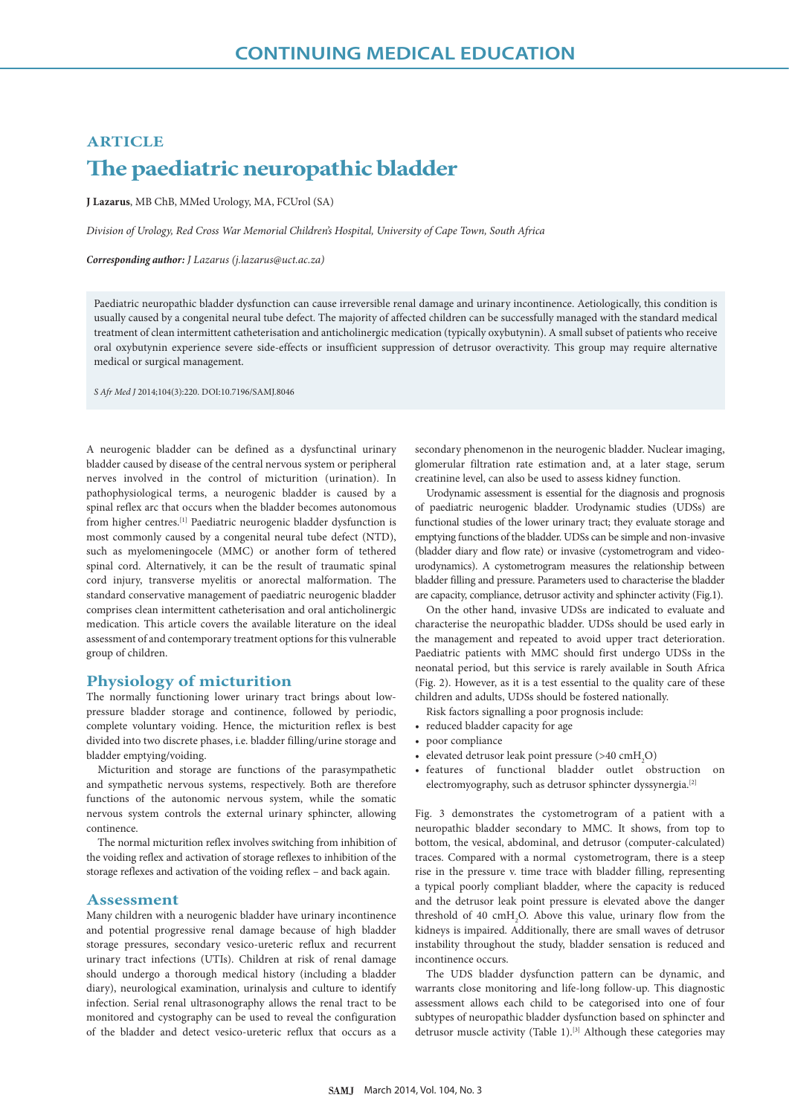# **ARTICLE The paediatric neuropathic bladder**

**J Lazarus**, MB ChB, MMed Urology, MA, FCUrol (SA)

*Division of Urology, Red Cross War Memorial Children's Hospital, University of Cape Town, South Africa* 

*Corresponding author: J Lazarus ([j.lazarus@uct.ac.za\)](mailto:j.lazarus@uct.ac.za)*

Paediatric neuropathic bladder dysfunction can cause irreversible renal damage and urinary incontinence. Aetiologically, this condition is usually caused by a congenital neural tube defect. The majority of affected children can be successfully managed with the standard medical treatment of clean intermittent catheterisation and anticholinergic medication (typically oxybutynin). A small subset of patients who receive oral oxybutynin experience severe side-effects or insufficient suppression of detrusor overactivity. This group may require alternative medical or surgical management.

*S Afr Med J* 2014;104(3):220. DOI:10.7196/SAMJ.8046

A neurogenic bladder can be defined as a dysfunctinal urinary bladder caused by disease of the central nervous system or peripheral nerves involved in the control of micturition (urination). In pathophysiological terms, a neurogenic bladder is caused by a spinal reflex arc that occurs when the bladder becomes autonomous from higher centres.<sup>[1]</sup> Paediatric neurogenic bladder dysfunction is most commonly caused by a congenital neural tube defect (NTD), such as myelomeningocele (MMC) or another form of tethered spinal cord. Alternatively, it can be the result of traumatic spinal cord injury, transverse myelitis or anorectal malformation. The standard conservative management of paediatric neurogenic bladder comprises clean intermittent catheterisation and oral anticholinergic medication. This article covers the available literature on the ideal assessment of and contemporary treatment options for this vulnerable group of children.

# **Physiology of micturition**

The normally functioning lower urinary tract brings about lowpressure bladder storage and continence, followed by periodic, complete voluntary voiding. Hence, the micturition reflex is best divided into two discrete phases, i.e. bladder filling/urine storage and bladder emptying/voiding.

Micturition and storage are functions of the parasympathetic and sympathetic nervous systems, respectively. Both are therefore functions of the autonomic nervous system, while the somatic nervous system controls the external urinary sphincter, allowing continence.

The normal micturition reflex involves switching from inhibition of the voiding reflex and activation of storage reflexes to inhibition of the storage reflexes and activation of the voiding reflex – and back again.

### **Assessment**

Many children with a neurogenic bladder have urinary incontinence and potential progressive renal damage because of high bladder storage pressures, secondary vesico-ureteric reflux and recurrent urinary tract infections (UTIs). Children at risk of renal damage should undergo a thorough medical history (including a bladder diary), neurological examination, urinalysis and culture to identify infection. Serial renal ultrasonography allows the renal tract to be monitored and cystography can be used to reveal the configuration of the bladder and detect vesico-ureteric reflux that occurs as a

secondary phenomenon in the neurogenic bladder. Nuclear imaging, glomerular filtration rate estimation and, at a later stage, serum creatinine level, can also be used to assess kidney function.

Urodynamic assessment is essential for the diagnosis and prognosis of paediatric neurogenic bladder. Urodynamic studies (UDSs) are functional studies of the lower urinary tract; they evaluate storage and emptying functions of the bladder. UDSs can be simple and non-invasive (bladder diary and flow rate) or invasive (cystometrogram and videourodynamics). A cystometrogram measures the relationship between bladder filling and pressure. Parameters used to characterise the bladder are capacity, compliance, detrusor activity and sphincter activity (Fig.1).

On the other hand, invasive UDSs are indicated to evaluate and characterise the neuropathic bladder. UDSs should be used early in the management and repeated to avoid upper tract deterioration. Paediatric patients with MMC should first undergo UDSs in the neonatal period, but this service is rarely available in South Africa (Fig. 2). However, as it is a test essential to the quality care of these children and adults, UDSs should be fostered nationally.

Risk factors signalling a poor prognosis include:

- reduced bladder capacity for age
- poor compliance
- elevated detrusor leak point pressure  $(>40 \text{ cmH}_2\text{O})$
- features of functional bladder outlet obstruction on electromyography, such as detrusor sphincter dyssynergia.<sup>[2]</sup>

Fig. 3 demonstrates the cystometrogram of a patient with a neuropathic bladder secondary to MMC. It shows, from top to bottom, the vesical, abdominal, and detrusor (computer-calculated) traces. Compared with a normal cystometrogram, there is a steep rise in the pressure v. time trace with bladder filling, representing a typical poorly compliant bladder, where the capacity is reduced and the detrusor leak point pressure is elevated above the danger threshold of 40  $cmH_2O$ . Above this value, urinary flow from the kidneys is impaired. Additionally, there are small waves of detrusor instability throughout the study, bladder sensation is reduced and incontinence occurs.

The UDS bladder dysfunction pattern can be dynamic, and warrants close monitoring and life-long follow-up. This diagnostic assessment allows each child to be categorised into one of four subtypes of neuropathic bladder dysfunction based on sphincter and detrusor muscle activity (Table 1).<sup>[3]</sup> Although these categories may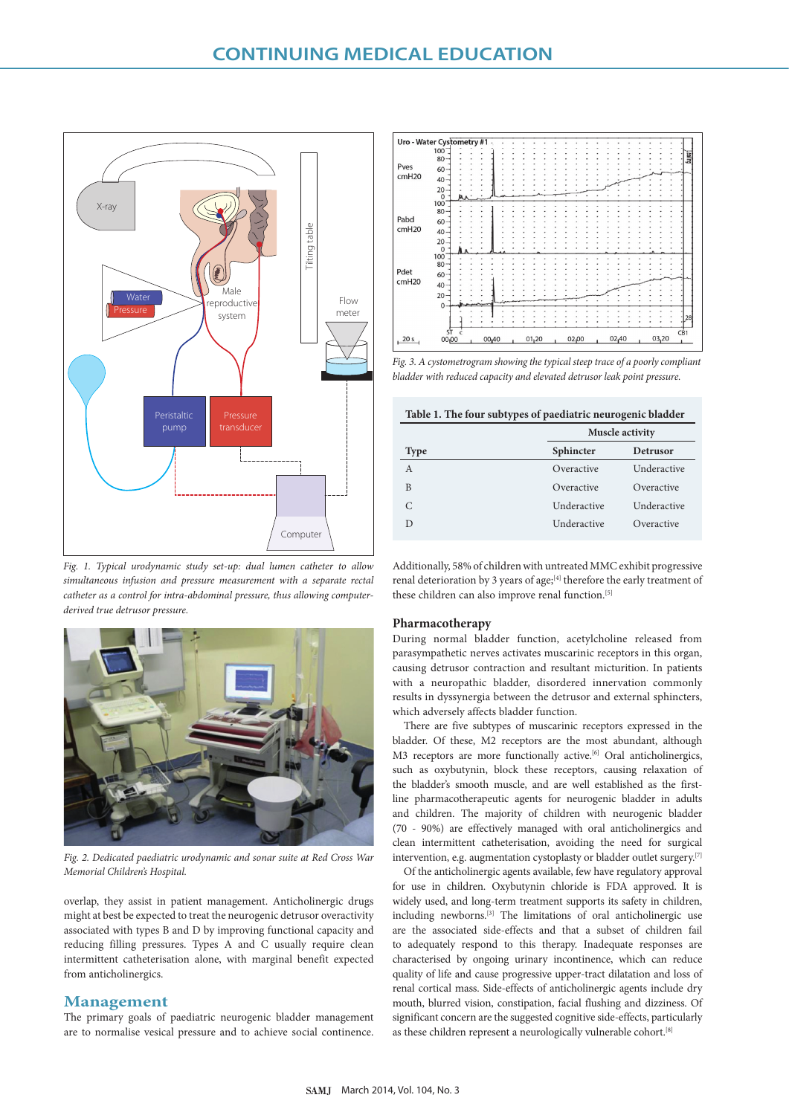

*Fig. 1. Typical urodynamic study set-up: dual lumen catheter to allow simultaneous infusion and pressure measurement with a separate rectal catheter as a control for intra-abdominal pressure, thus allowing computerderived true detrusor pressure.* 



*Fig. 2. Dedicated paediatric urodynamic and sonar suite at Red Cross War Memorial Children's Hospital.*

overlap, they assist in patient management. Anticholinergic drugs might at best be expected to treat the neurogenic detrusor overactivity associated with types B and D by improving functional capacity and reducing filling pressures. Types A and C usually require clean intermittent catheterisation alone, with marginal benefit expected from anticholinergics.

# **Management**

The primary goals of paediatric neurogenic bladder management are to normalise vesical pressure and to achieve social continence.



*Fig. 3. A cystometrogram showing the typical steep trace of a poorly compliant bladder with reduced capacity and elevated detrusor leak point pressure.*

#### **Table 1. The four subtypes of paediatric neurogenic bladder**

|             | Muscle activity |             |
|-------------|-----------------|-------------|
| <b>Type</b> | Sphincter       | Detrusor    |
| А           | Overactive      | Underactive |
| B           | Overactive      | Overactive  |
| C           | Underactive     | Underactive |
| Ð           | Underactive     | Overactive  |
|             |                 |             |

Additionally, 58% of children with untreated MMC exhibit progressive renal deterioration by 3 years of age;<sup>[4]</sup> therefore the early treatment of these children can also improve renal function.<sup>[5]</sup>

### **Pharmacotherapy**

During normal bladder function, acetylcholine released from parasympathetic nerves activates muscarinic receptors in this organ, causing detrusor contraction and resultant micturition. In patients with a neuropathic bladder, disordered innervation commonly results in dyssynergia between the detrusor and external sphincters, which adversely affects bladder function.

There are five subtypes of muscarinic receptors expressed in the bladder. Of these, M2 receptors are the most abundant, although M3 receptors are more functionally active.<sup>[6]</sup> Oral anticholinergics, such as oxybutynin, block these receptors, causing relaxation of the bladder's smooth muscle, and are well established as the firstline pharmacotherapeutic agents for neurogenic bladder in adults and children. The majority of children with neurogenic bladder (70 - 90%) are effectively managed with oral anticholinergics and clean intermittent catheterisation, avoiding the need for surgical intervention, e.g. augmentation cystoplasty or bladder outlet surgery.[7]

Of the anticholinergic agents available, few have regulatory approval for use in children. Oxybutynin chloride is FDA approved. It is widely used, and long-term treatment supports its safety in children, including newborns.[3] The limitations of oral anticholinergic use are the associated side-effects and that a subset of children fail to adequately respond to this therapy. Inadequate responses are characterised by ongoing urinary incontinence, which can reduce quality of life and cause progressive upper-tract dilatation and loss of renal cortical mass. Side-effects of anticholinergic agents include dry mouth, blurred vision, constipation, facial flushing and dizziness. Of significant concern are the suggested cognitive side-effects, particularly as these children represent a neurologically vulnerable cohort.<sup>[8]</sup>